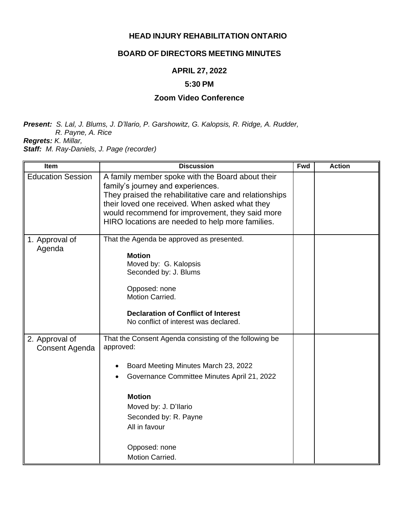### **HEAD INJURY REHABILITATION ONTARIO**

### **BOARD OF DIRECTORS MEETING MINUTES**

# **APRIL 27, 2022**

#### **5:30 PM**

# **Zoom Video Conference**

*Present: S. Lal, J. Blums, J. D'llario, P. Garshowitz, G. Kalopsis, R. Ridge, A. Rudder, R. Payne, A. Rice Regrets: K. Millar,*

*Staff: M. Ray-Daniels, J. Page (recorder)*

| Item                             | <b>Discussion</b>                                                                                                                                                                                                                                                                                        | <b>Fwd</b> | <b>Action</b> |
|----------------------------------|----------------------------------------------------------------------------------------------------------------------------------------------------------------------------------------------------------------------------------------------------------------------------------------------------------|------------|---------------|
| <b>Education Session</b>         | A family member spoke with the Board about their<br>family's journey and experiences.<br>They praised the rehabilitative care and relationships<br>their loved one received. When asked what they<br>would recommend for improvement, they said more<br>HIRO locations are needed to help more families. |            |               |
| 1. Approval of<br>Agenda         | That the Agenda be approved as presented.<br><b>Motion</b><br>Moved by: G. Kalopsis<br>Seconded by: J. Blums<br>Opposed: none<br>Motion Carried.<br><b>Declaration of Conflict of Interest</b><br>No conflict of interest was declared.                                                                  |            |               |
| 2. Approval of<br>Consent Agenda | That the Consent Agenda consisting of the following be<br>approved:<br>Board Meeting Minutes March 23, 2022<br>Governance Committee Minutes April 21, 2022<br><b>Motion</b><br>Moved by: J. D'Ilario<br>Seconded by: R. Payne<br>All in favour<br>Opposed: none<br>Motion Carried.                       |            |               |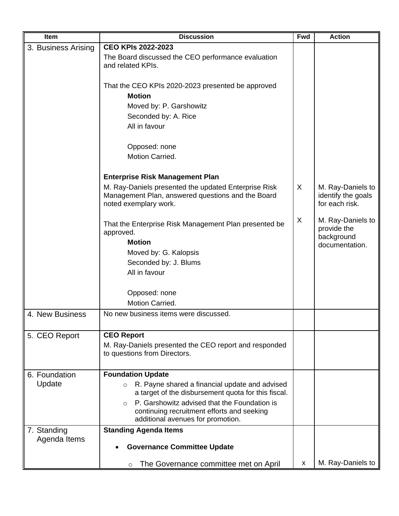| Item                | <b>Discussion</b>                                                                                                                           | <b>Fwd</b> | <b>Action</b>                                             |
|---------------------|---------------------------------------------------------------------------------------------------------------------------------------------|------------|-----------------------------------------------------------|
| 3. Business Arising | <b>CEO KPIs 2022-2023</b>                                                                                                                   |            |                                                           |
|                     | The Board discussed the CEO performance evaluation<br>and related KPIs.                                                                     |            |                                                           |
|                     | That the CEO KPIs 2020-2023 presented be approved<br><b>Motion</b>                                                                          |            |                                                           |
|                     | Moved by: P. Garshowitz                                                                                                                     |            |                                                           |
|                     | Seconded by: A. Rice                                                                                                                        |            |                                                           |
|                     | All in favour                                                                                                                               |            |                                                           |
|                     |                                                                                                                                             |            |                                                           |
|                     | Opposed: none                                                                                                                               |            |                                                           |
|                     | Motion Carried.                                                                                                                             |            |                                                           |
|                     | <b>Enterprise Risk Management Plan</b>                                                                                                      |            |                                                           |
|                     | M. Ray-Daniels presented the updated Enterprise Risk<br>Management Plan, answered questions and the Board<br>noted exemplary work.          | X          | M. Ray-Daniels to<br>identify the goals<br>for each risk. |
|                     | That the Enterprise Risk Management Plan presented be<br>approved.<br><b>Motion</b>                                                         | X          | M. Ray-Daniels to<br>provide the<br>background            |
|                     | Moved by: G. Kalopsis                                                                                                                       |            | documentation.                                            |
|                     |                                                                                                                                             |            |                                                           |
|                     | Seconded by: J. Blums<br>All in favour                                                                                                      |            |                                                           |
|                     |                                                                                                                                             |            |                                                           |
|                     | Opposed: none                                                                                                                               |            |                                                           |
|                     | Motion Carried.                                                                                                                             |            |                                                           |
|                     |                                                                                                                                             |            |                                                           |
| 4. New Business     | No new business items were discussed.                                                                                                       |            |                                                           |
| 5. CEO Report       | <b>CEO Report</b>                                                                                                                           |            |                                                           |
|                     | M. Ray-Daniels presented the CEO report and responded<br>to questions from Directors.                                                       |            |                                                           |
| 6. Foundation       | <b>Foundation Update</b>                                                                                                                    |            |                                                           |
| Update              | R. Payne shared a financial update and advised<br>$\circ$<br>a target of the disbursement quota for this fiscal.                            |            |                                                           |
|                     | P. Garshowitz advised that the Foundation is<br>$\Omega$<br>continuing recruitment efforts and seeking<br>additional avenues for promotion. |            |                                                           |
| 7. Standing         | <b>Standing Agenda Items</b>                                                                                                                |            |                                                           |
| Agenda Items        | <b>Governance Committee Update</b>                                                                                                          |            |                                                           |
|                     | The Governance committee met on April<br>$\circ$                                                                                            | x          | M. Ray-Daniels to                                         |